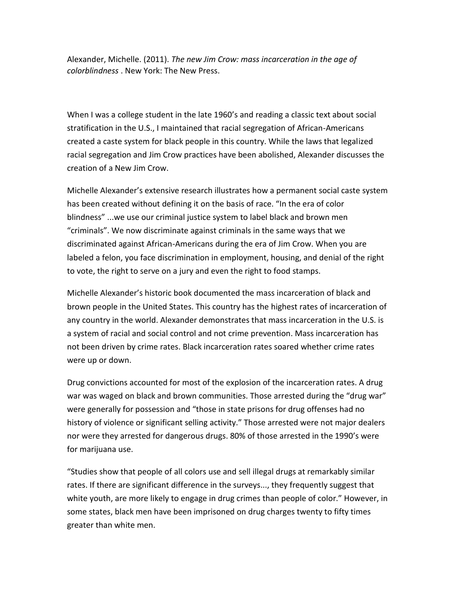Alexander, Michelle. (2011). *The new Jim Crow: mass incarceration in the age of colorblindness* . New York: The New Press.

When I was a college student in the late 1960's and reading a classic text about social stratification in the U.S., I maintained that racial segregation of African-Americans created a caste system for black people in this country. While the laws that legalized racial segregation and Jim Crow practices have been abolished, Alexander discusses the creation of a New Jim Crow.

Michelle Alexander's extensive research illustrates how a permanent social caste system has been created without defining it on the basis of race. "In the era of color blindness" ...we use our criminal justice system to label black and brown men "criminals". We now discriminate against criminals in the same ways that we discriminated against African-Americans during the era of Jim Crow. When you are labeled a felon, you face discrimination in employment, housing, and denial of the right to vote, the right to serve on a jury and even the right to food stamps.

Michelle Alexander's historic book documented the mass incarceration of black and brown people in the United States. This country has the highest rates of incarceration of any country in the world. Alexander demonstrates that mass incarceration in the U.S. is a system of racial and social control and not crime prevention. Mass incarceration has not been driven by crime rates. Black incarceration rates soared whether crime rates were up or down.

Drug convictions accounted for most of the explosion of the incarceration rates. A drug war was waged on black and brown communities. Those arrested during the "drug war" were generally for possession and "those in state prisons for drug offenses had no history of violence or significant selling activity." Those arrested were not major dealers nor were they arrested for dangerous drugs. 80% of those arrested in the 1990's were for marijuana use.

"Studies show that people of all colors use and sell illegal drugs at remarkably similar rates. If there are significant difference in the surveys..., they frequently suggest that white youth, are more likely to engage in drug crimes than people of color." However, in some states, black men have been imprisoned on drug charges twenty to fifty times greater than white men.